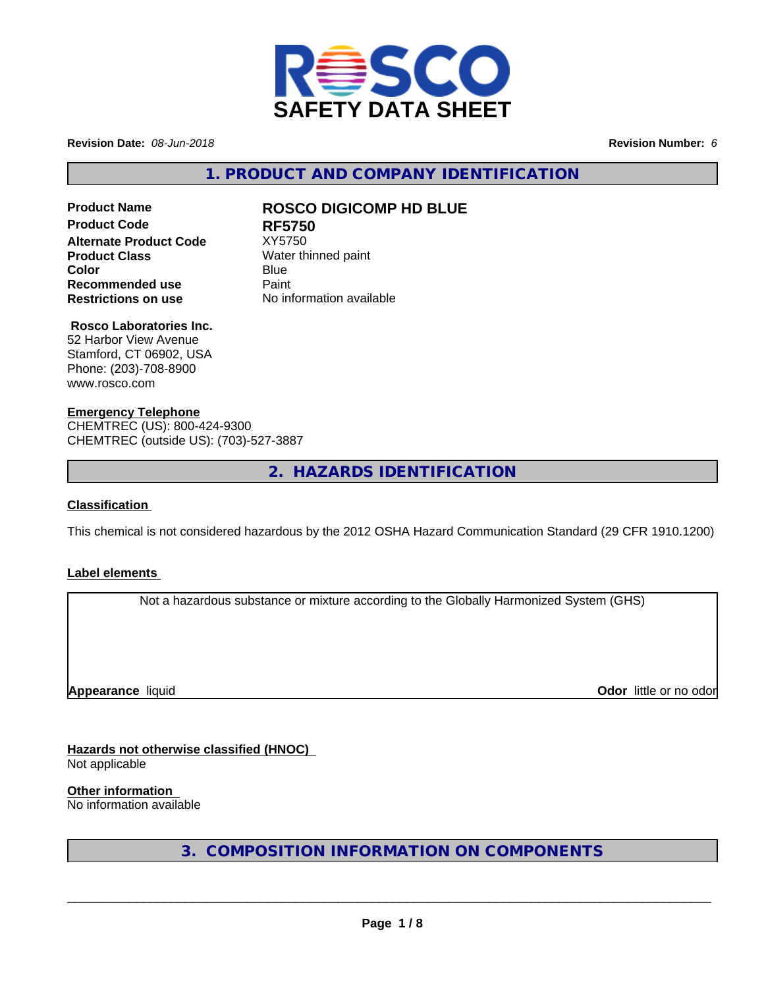

**Revision Date:** *08-Jun-2018* **Revision Number:** *6*

**1. PRODUCT AND COMPANY IDENTIFICATION**

## **Product Code RF5750 Alternate Product Code** XY5750 **Product Class** Water thinned paint **Color** Blue Blue **Recommended use** Paint<br> **Restrictions on use** No inf

# **Product Name ROSCO DIGICOMP HD BLUE**

**Restrictions on use** No information available

## **Rosco Laboratories Inc.**

52 Harbor View Avenue Stamford, CT 06902, USA Phone: (203)-708-8900 www.rosco.com

#### **Emergency Telephone**

CHEMTREC (US): 800-424-9300 CHEMTREC (outside US): (703)-527-3887

**2. HAZARDS IDENTIFICATION**

#### **Classification**

This chemical is not considered hazardous by the 2012 OSHA Hazard Communication Standard (29 CFR 1910.1200)

#### **Label elements**

Not a hazardous substance or mixture according to the Globally Harmonized System (GHS)

**Appearance** liquid

**Odor** little or no odor

**Hazards not otherwise classified (HNOC)** Not applicable

**Other information**

No information available

**3. COMPOSITION INFORMATION ON COMPONENTS**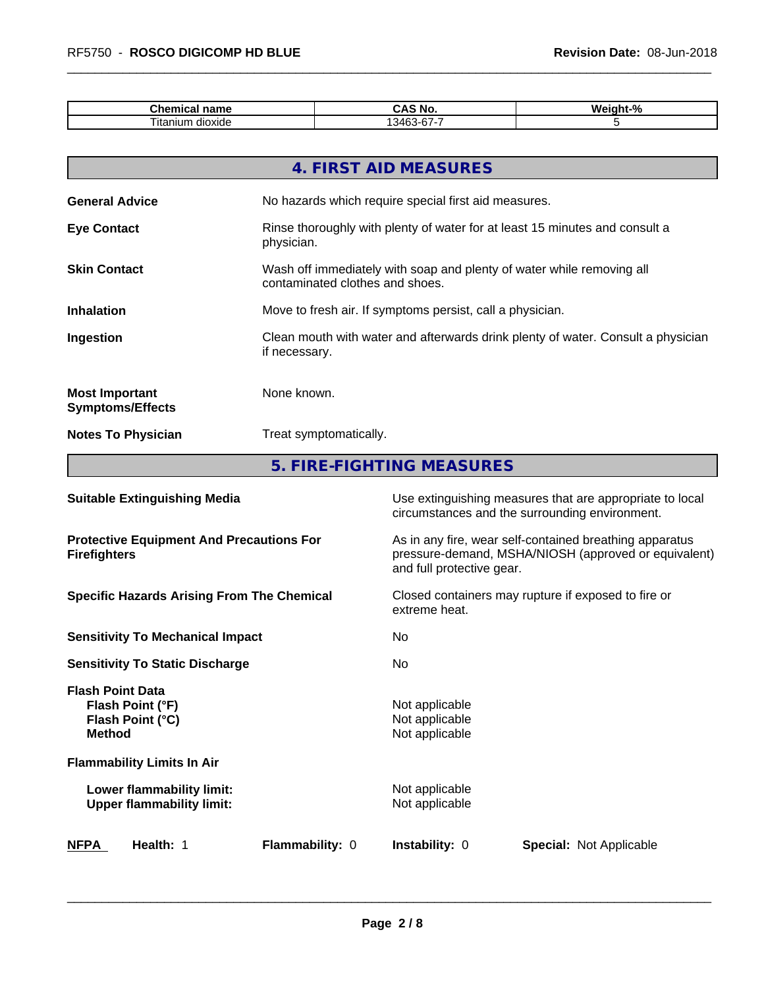| $-$<br>- ---<br>----<br>name<br>nical<br>. | . Т<br>No                                       |  |
|--------------------------------------------|-------------------------------------------------|--|
| $\sim$<br>dioxide<br>. itanium             | $\sim$<br>スパレー<br>$\overline{\phantom{a}}$<br>ີ |  |

|                                                  | 4. FIRST AID MEASURES                                                                                    |
|--------------------------------------------------|----------------------------------------------------------------------------------------------------------|
| <b>General Advice</b>                            | No hazards which require special first aid measures.                                                     |
| <b>Eye Contact</b>                               | Rinse thoroughly with plenty of water for at least 15 minutes and consult a<br>physician.                |
| <b>Skin Contact</b>                              | Wash off immediately with soap and plenty of water while removing all<br>contaminated clothes and shoes. |
| <b>Inhalation</b>                                | Move to fresh air. If symptoms persist, call a physician.                                                |
| Ingestion                                        | Clean mouth with water and afterwards drink plenty of water. Consult a physician<br>if necessary.        |
| <b>Most Important</b><br><b>Symptoms/Effects</b> | None known.                                                                                              |
| <b>Notes To Physician</b>                        | Treat symptomatically.                                                                                   |
|                                                  | 5. FIRE-FIGHTING MEASURES                                                                                |

| <b>Suitable Extinguishing Media</b>                                              | Use extinguishing measures that are appropriate to local<br>circumstances and the surrounding environment.                                   |  |
|----------------------------------------------------------------------------------|----------------------------------------------------------------------------------------------------------------------------------------------|--|
| <b>Protective Equipment And Precautions For</b><br><b>Firefighters</b>           | As in any fire, wear self-contained breathing apparatus<br>pressure-demand, MSHA/NIOSH (approved or equivalent)<br>and full protective gear. |  |
| <b>Specific Hazards Arising From The Chemical</b>                                | Closed containers may rupture if exposed to fire or<br>extreme heat.                                                                         |  |
| <b>Sensitivity To Mechanical Impact</b>                                          | No.                                                                                                                                          |  |
| <b>Sensitivity To Static Discharge</b>                                           | No.                                                                                                                                          |  |
| <b>Flash Point Data</b><br>Flash Point (°F)<br>Flash Point (°C)<br><b>Method</b> | Not applicable<br>Not applicable<br>Not applicable                                                                                           |  |
| <b>Flammability Limits In Air</b>                                                |                                                                                                                                              |  |
| Lower flammability limit:<br><b>Upper flammability limit:</b>                    | Not applicable<br>Not applicable                                                                                                             |  |
| <b>NFPA</b><br>Health: 1<br><b>Flammability: 0</b>                               | <b>Instability: 0</b><br><b>Special: Not Applicable</b>                                                                                      |  |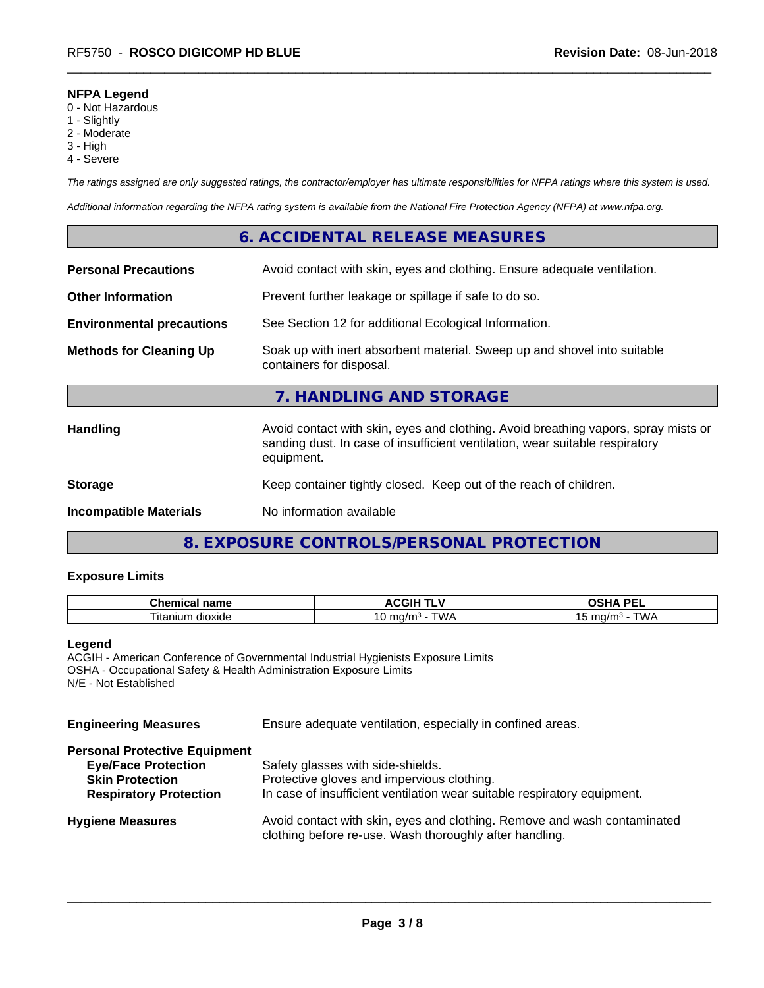#### **NFPA Legend**

- 0 Not Hazardous
- 1 Slightly
- 2 Moderate
- 3 High
- 4 Severe

*The ratings assigned are only suggested ratings, the contractor/employer has ultimate responsibilities for NFPA ratings where this system is used.*

*Additional information regarding the NFPA rating system is available from the National Fire Protection Agency (NFPA) at www.nfpa.org.*

## **6. ACCIDENTAL RELEASE MEASURES**

| <b>Personal Precautions</b>      | Avoid contact with skin, eyes and clothing. Ensure adequate ventilation.                                                                                                         |
|----------------------------------|----------------------------------------------------------------------------------------------------------------------------------------------------------------------------------|
| <b>Other Information</b>         | Prevent further leakage or spillage if safe to do so.                                                                                                                            |
| <b>Environmental precautions</b> | See Section 12 for additional Ecological Information.                                                                                                                            |
| <b>Methods for Cleaning Up</b>   | Soak up with inert absorbent material. Sweep up and shovel into suitable<br>containers for disposal.                                                                             |
|                                  | 7. HANDLING AND STORAGE                                                                                                                                                          |
| <b>Handling</b>                  | Avoid contact with skin, eyes and clothing. Avoid breathing vapors, spray mists or<br>sanding dust. In case of insufficient ventilation, wear suitable respiratory<br>equipment. |
| <b>Storage</b>                   | Keep container tightly closed. Keep out of the reach of children.                                                                                                                |
| <b>Incompatible Materials</b>    | No information available                                                                                                                                                         |
|                                  |                                                                                                                                                                                  |

## **8. EXPOSURE CONTROLS/PERSONAL PROTECTION**

#### **Exposure Limits**

| and a material<br>name<br>Chemical               | .ul.<br>. .            | <b>DE</b><br>э.<br>-- |
|--------------------------------------------------|------------------------|-----------------------|
| $\sim$<br>$ \sim$<br>dioxide<br>ıtar<br>11.UU 11 | TWA<br>ma/m<br>n.<br>ື | T111<br>ma/m<br>ັ     |

#### **Legend**

ACGIH - American Conference of Governmental Industrial Hygienists Exposure Limits OSHA - Occupational Safety & Health Administration Exposure Limits N/E - Not Established

**Engineering Measures** Ensure adequate ventilation, especially in confined areas.

| <b>Personal Protective Equipment</b> |                                                                                                                                     |
|--------------------------------------|-------------------------------------------------------------------------------------------------------------------------------------|
| <b>Eye/Face Protection</b>           | Safety glasses with side-shields.                                                                                                   |
| <b>Skin Protection</b>               | Protective gloves and impervious clothing.                                                                                          |
| <b>Respiratory Protection</b>        | In case of insufficient ventilation wear suitable respiratory equipment.                                                            |
| <b>Hygiene Measures</b>              | Avoid contact with skin, eyes and clothing. Remove and wash contaminated<br>clothing before re-use. Wash thoroughly after handling. |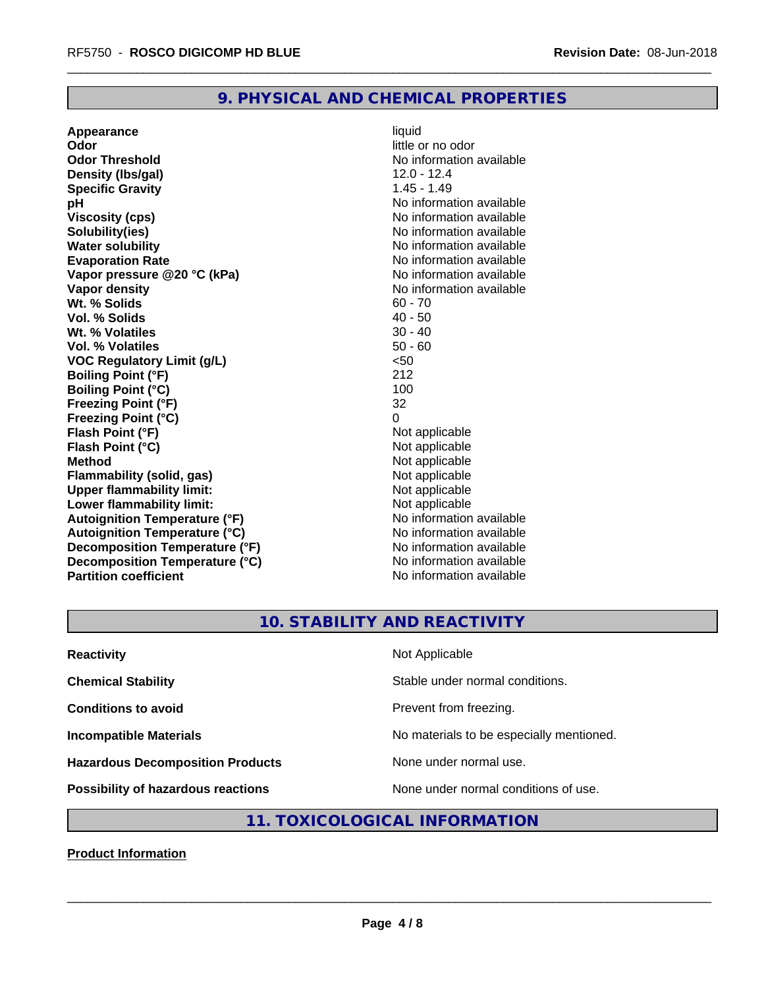#### **9. PHYSICAL AND CHEMICAL PROPERTIES**

**Appearance** liquid **Odor** little or no odor **Odor Threshold No information available No information available Density (lbs/gal)** 12.0 - 12.4 **Specific Gravity** 1.45 - 1.49 **pH** No information available **Viscosity (cps)** No information available Notice 1, 1999 **Solubility(ies)** No information available **Water solubility Water solubility Water solubility Water solubility Water solubility Water solution Evaporation Rate No information available No information available Vapor pressure @20 °C (kPa)** No information available **Vapor density Value 2018** No information available **Wt. % Solids 60 - 70**<br> **Vol. % Solids 60 - 70**<br> **Vol. % Solids 60 - 80 Vol. % Solids** 40 - 50 **Wt. % Volatiles Vol. % Volatiles** 50 - 60 **VOC Regulatory Limit (g/L)** <50 **Boiling Point (°F)** 212 **Boiling Point (°C)** 100 **Freezing Point (°F)** 32 **Freezing Point (°C)**<br> **Flash Point (°F)**<br> **Flash Point (°F)**<br> **Point (°F) Flash Point (°F)**<br> **Flash Point (°C)**<br> **Flash Point (°C)**<br> **C Flash Point (°C) Method** Not applicable<br> **Flammability (solid, gas)** Not applicable Not applicable **Flammability (solid, gas)**<br> **Upper flammability limit:**<br>
Upper flammability limit: **Upper flammability limit: Lower flammability limit:**<br> **Autoignition Temperature (°F)** Not applicable Not applicable **Autoignition Temperature (°F)**<br> **Autoignition Temperature (°C)** No information available **Autoignition Temperature (°C) Decomposition Temperature (°F)**<br> **Decomposition Temperature (°C)** No information available **Decomposition Temperature (°C)**<br>Partition coefficient

**No information available** 

### **10. STABILITY AND REACTIVITY**

| <b>Reactivity</b>                         | Not Applicable                           |
|-------------------------------------------|------------------------------------------|
| <b>Chemical Stability</b>                 | Stable under normal conditions.          |
| <b>Conditions to avoid</b>                | Prevent from freezing.                   |
| <b>Incompatible Materials</b>             | No materials to be especially mentioned. |
| <b>Hazardous Decomposition Products</b>   | None under normal use.                   |
| <b>Possibility of hazardous reactions</b> | None under normal conditions of use.     |

## **11. TOXICOLOGICAL INFORMATION**

**Product Information**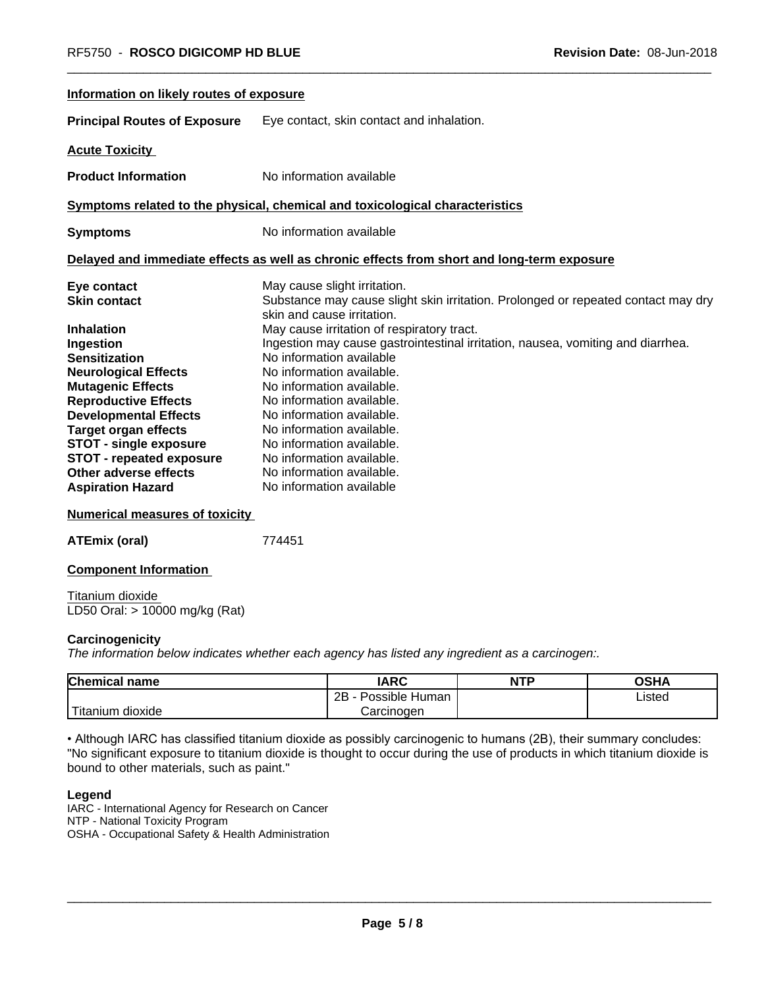| Information on likely routes of exposure |                                                                                            |
|------------------------------------------|--------------------------------------------------------------------------------------------|
| <b>Principal Routes of Exposure</b>      | Eye contact, skin contact and inhalation.                                                  |
| <b>Acute Toxicity</b>                    |                                                                                            |
| <b>Product Information</b>               | No information available                                                                   |
|                                          | Symptoms related to the physical, chemical and toxicological characteristics               |
| <b>Symptoms</b>                          | No information available                                                                   |
|                                          | Delayed and immediate effects as well as chronic effects from short and long-term exposure |
| Eye contact                              | May cause slight irritation.                                                               |
| <b>Skin contact</b>                      | Substance may cause slight skin irritation. Prolonged or repeated contact may dry          |
|                                          | skin and cause irritation.                                                                 |
| <b>Inhalation</b>                        | May cause irritation of respiratory tract.                                                 |
| Ingestion                                | Ingestion may cause gastrointestinal irritation, nausea, vomiting and diarrhea.            |
| <b>Sensitization</b>                     | No information available                                                                   |
| <b>Neurological Effects</b>              | No information available.                                                                  |
| <b>Mutagenic Effects</b>                 | No information available.                                                                  |
| <b>Reproductive Effects</b>              | No information available.                                                                  |
| <b>Developmental Effects</b>             | No information available.                                                                  |
| <b>Target organ effects</b>              | No information available.                                                                  |
| <b>STOT - single exposure</b>            | No information available.                                                                  |
| <b>STOT - repeated exposure</b>          | No information available.                                                                  |
| Other adverse effects                    | No information available.                                                                  |
| <b>Aspiration Hazard</b>                 | No information available                                                                   |
|                                          |                                                                                            |

**Numerical measures of toxicity**

**ATEmix (oral)** 774451

#### **Component Information**

Titanium dioxide LD50 Oral: > 10000 mg/kg (Rat)

#### **Carcinogenicity**

*The information below indicateswhether each agency has listed any ingredient as a carcinogen:.*

| <b>Chemical name</b>                    | <b>IARC</b>               | <b>NTP</b> | <b>OSHA</b> |
|-----------------------------------------|---------------------------|------------|-------------|
|                                         | 2B<br>Possible<br>. Human |            | Listed<br>. |
| بالمواقعة المراد<br>dioxide<br>Titanium | Carcinogen                |            |             |

• Although IARC has classified titanium dioxide as possibly carcinogenic to humans (2B), their summary concludes: "No significant exposure to titanium dioxide is thought to occur during the use of products in which titanium dioxide is bound to other materials, such as paint."

#### **Legend**

IARC - International Agency for Research on Cancer NTP - National Toxicity Program OSHA - Occupational Safety & Health Administration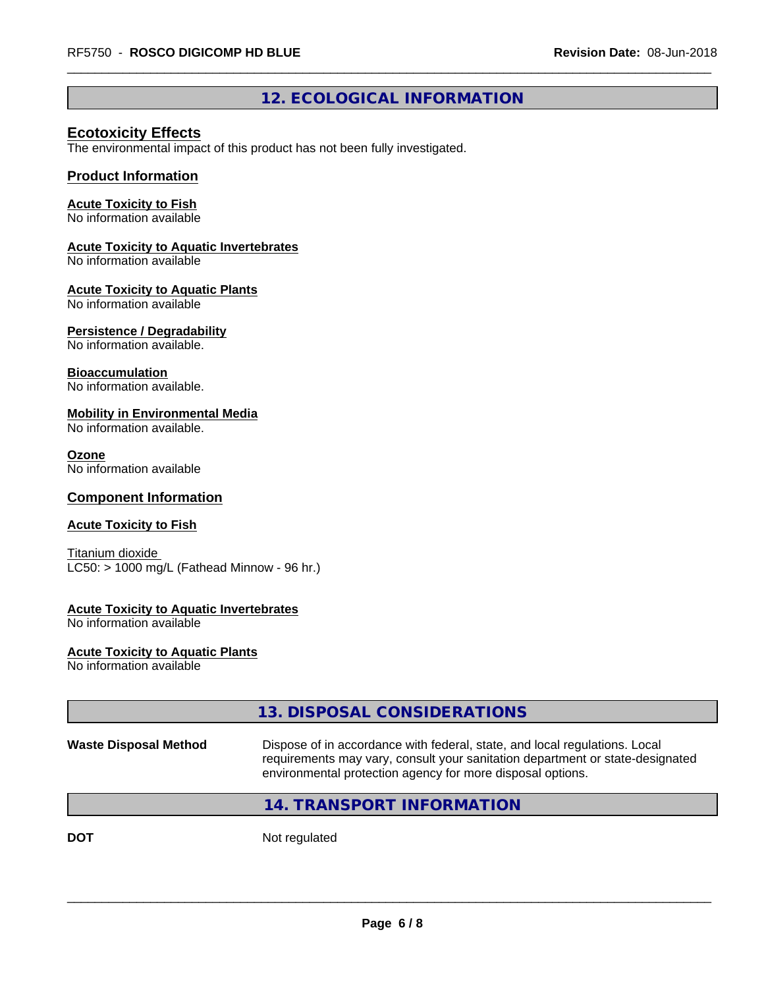## **12. ECOLOGICAL INFORMATION**

#### **Ecotoxicity Effects**

The environmental impact of this product has not been fully investigated.

#### **Product Information**

### **Acute Toxicity to Fish**

No information available

#### **Acute Toxicity to Aquatic Invertebrates**

No information available

#### **Acute Toxicity to Aquatic Plants**

No information available

#### **Persistence / Degradability**

No information available.

#### **Bioaccumulation**

No information available.

#### **Mobility in Environmental Media**

No information available.

#### **Ozone**

No information available

#### **Component Information**

#### **Acute Toxicity to Fish**

Titanium dioxide  $LC50:$  > 1000 mg/L (Fathead Minnow - 96 hr.)

#### **Acute Toxicity to Aquatic Invertebrates**

No information available

## **Acute Toxicity to Aquatic Plants**

No information available

### **13. DISPOSAL CONSIDERATIONS**

**Waste Disposal Method** Dispose of in accordance with federal, state, and local regulations. Local requirements may vary, consult your sanitation department or state-designated environmental protection agency for more disposal options.

 $\overline{\phantom{a}}$  ,  $\overline{\phantom{a}}$  ,  $\overline{\phantom{a}}$  ,  $\overline{\phantom{a}}$  ,  $\overline{\phantom{a}}$  ,  $\overline{\phantom{a}}$  ,  $\overline{\phantom{a}}$  ,  $\overline{\phantom{a}}$  ,  $\overline{\phantom{a}}$  ,  $\overline{\phantom{a}}$  ,  $\overline{\phantom{a}}$  ,  $\overline{\phantom{a}}$  ,  $\overline{\phantom{a}}$  ,  $\overline{\phantom{a}}$  ,  $\overline{\phantom{a}}$  ,  $\overline{\phantom{a}}$ 

### **14. TRANSPORT INFORMATION**

**DOT** Not regulated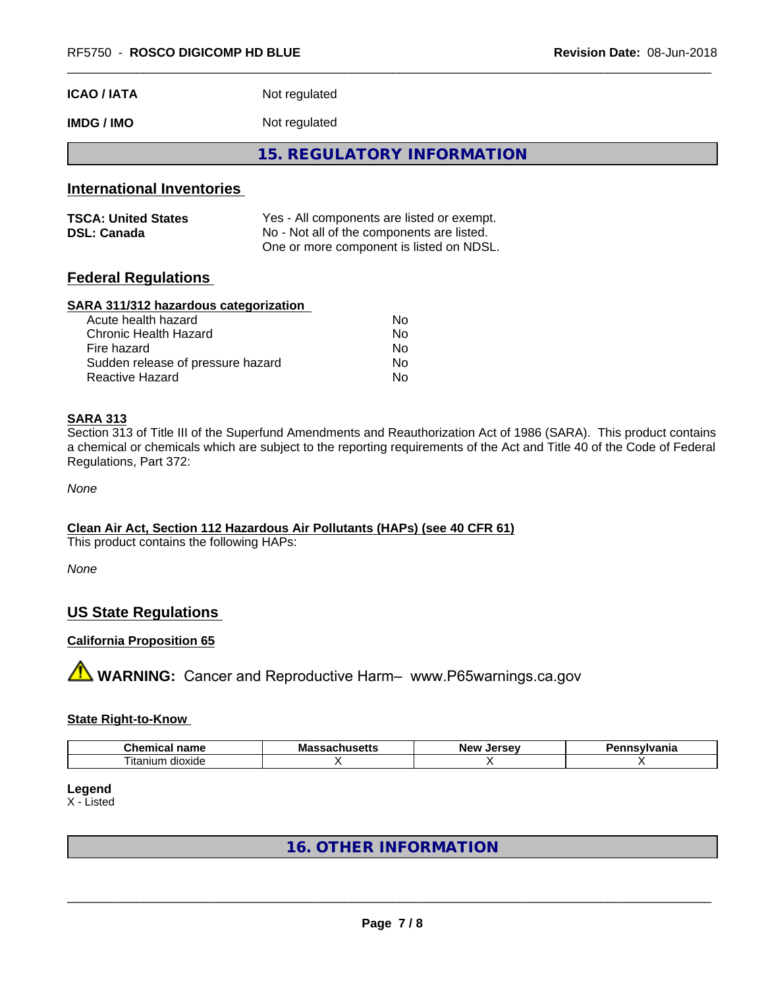| <b>ICAO/IATA</b><br>Not regulated |  |
|-----------------------------------|--|
|-----------------------------------|--|

## **IMDG / IMO** Not regulated

**15. REGULATORY INFORMATION**

#### **International Inventories**

| <b>TSCA: United States</b> | Yes - All components are listed or exempt. |
|----------------------------|--------------------------------------------|
| <b>DSL: Canada</b>         | No - Not all of the components are listed. |
|                            | One or more component is listed on NDSL.   |

### **Federal Regulations**

#### **SARA 311/312 hazardous categorization**

| Acute health hazard               | Nο |  |
|-----------------------------------|----|--|
| Chronic Health Hazard             | Nο |  |
| Fire hazard                       | Nο |  |
| Sudden release of pressure hazard | N٥ |  |
| Reactive Hazard                   | Nο |  |

#### **SARA 313**

Section 313 of Title III of the Superfund Amendments and Reauthorization Act of 1986 (SARA). This product contains a chemical or chemicals which are subject to the reporting requirements of the Act and Title 40 of the Code of Federal Regulations, Part 372:

*None*

#### **Clean Air Act,Section 112 Hazardous Air Pollutants (HAPs) (see 40 CFR 61)**

This product contains the following HAPs:

*None*

### **US State Regulations**

#### **California Proposition 65**

**A WARNING:** Cancer and Reproductive Harm– www.P65warnings.ca.gov

#### **State Right-to-Know**

| <b>THE REAL</b>                     | IVI a  | -Ne | н |
|-------------------------------------|--------|-----|---|
| nemicai name                        | .      | .   |   |
| .                                   | nustus | -35 |   |
| $- \cdot$ .<br>dioxide<br>ı itanıum |        |     |   |

**Legend**

X - Listed

**16. OTHER INFORMATION**